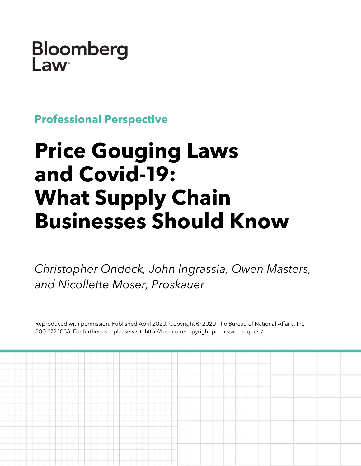Bloomberg Law

**Professional Perspective**

# **Price Gouging Laws and Covid-19: What Supply Chain Businesses Should Know**

*Christopher Ondeck, John Ingrassia, Owen Masters, and Nicollette Moser, Proskauer*

Reproduced with permission. Published April 2020. Copyright © 2020 The Bureau of National Affairs, Inc. 800.372.1033. For further use, please visit: http://bna.com/copyright-permission-request/

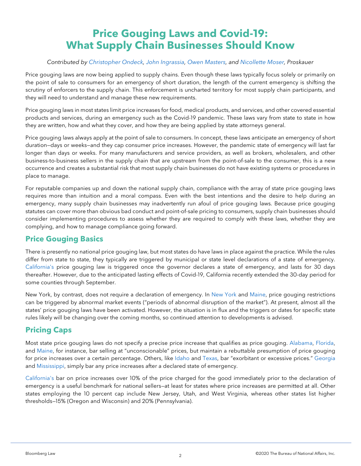# **Price Gouging Laws and Covid-19: What Supply Chain Businesses Should Know**

#### *Contributed by [Christopher Ondeck,](https://www.proskauer.com/professionals/christopher-ondeck) [John Ingrassia,](https://www.proskauer.com/professionals/john-ingrassia) [Owen Masters,](https://www.proskauer.com/professionals/owen-masters) and [Nicollette Moser,](https://www.proskauer.com/professionals/nicollette-moser) Proskauer*

Price gouging laws are now being applied to supply chains. Even though these laws typically focus solely or primarily on the point of sale to consumers for an emergency of short duration, the length of the current emergency is shifting the scrutiny of enforcers to the supply chain. This enforcement is uncharted territory for most supply chain participants, and they will need to understand and manage these new requirements.

Price gouging laws in most states limit price increases for food, medical products, and services, and other covered essential products and services, during an emergency such as the Covid-19 pandemic. These laws vary from state to state in how they are written, how and what they cover, and how they are being applied by state attorneys general.

Price gouging laws always apply at the point of sale to consumers. In concept, these laws anticipate an emergency of short duration—days or weeks—and they cap consumer price increases. However, the pandemic state of emergency will last far longer than days or weeks. For many manufacturers and service providers, as well as brokers, wholesalers, and other business-to-business sellers in the supply chain that are upstream from the point-of-sale to the consumer, this is a new occurrence and creates a substantial risk that most supply chain businesses do not have existing systems or procedures in place to manage.

For reputable companies up and down the national supply chain, compliance with the array of state price gouging laws requires more than intuition and a moral compass. Even with the best intentions and the desire to help during an emergency, many supply chain businesses may inadvertently run afoul of price gouging laws. Because price gouging statutes can cover more than obvious bad conduct and point-of-sale pricing to consumers, supply chain businesses should consider implementing procedures to assess whether they are required to comply with these laws, whether they are complying, and how to manage compliance going forward.

### **Price Gouging Basics**

There is presently no national price gouging law, but most states do have laws in place against the practice. While the rules differ from state to state, they typically are triggered by municipal or state level declarations of a state of emergency. [California's](https://www.nysenate.gov/legislation/laws/GBS/396-R) price gouging law is triggered once the governor declares a state of emergency, and lasts for 30 days thereafter. However, due to the anticipated lasting effects of Covid-19, California recently extended the 30-day period for some counties through September.

New York, by contrast, does not require a declaration of emergency. In [New York](https://www.nysenate.gov/legislation/laws/GBS/396-R) and [Maine,](https://www.mainelegislature.org/legis/statutes/10/title10sec1105.html) price gouging restrictions can be triggered by abnormal market events ("periods of abnormal disruption of the market"). At present, almost all the states' price gouging laws have been activated. However, the situation is in flux and the triggers or dates for specific state rules likely will be changing over the coming months, so continued attention to developments is advised.

### **Pricing Caps**

Most state price gouging laws do not specify a precise price increase that qualifies as price gouging. [Alabama,](https://adeca.alabama.gov/Divisions/ltcr/Resources/Alabama%20Anti-Price%20Gouging%20Law.pdf) [Florida,](http://www.leg.state.fl.us/statutes/index.cfm?App_mode=Display_Statute&URL=0500-0599/0501/Sections/0501.160.html)  and [Maine,](https://www.mainelegislature.org/legis/statutes/10/title10sec1105.html) for instance, bar selling at "unconscionable" prices, but maintain a rebuttable presumption of price gouging for price increases over a certain percentage. Others, like [Idaho](https://legislature.idaho.gov/statutesrules/idstat/Title48/T48CH6/SECT48-603/) and [Texas,](https://statutes.capitol.texas.gov/Docs/BC/pdf/BC.17.pdf) bar "exorbitant or excessive prices." [Georgia](http://ga.elaws.us/law/10-1%7C15) and [Mississippi,](https://advance.lexis.com/documentpage/?pdmfid=1000516&crid=f74e3056-8bbb-4684-ba9a-bcebf9367d82&title=%C2%A7+75-24-25.+Restriction+on+prices+charged+for+goods+during+state+of+emergency%3B+definitions%3B+penalties.&populated=false&haschildren=&level=4&nodepath=%2FROOT%2FABN%2FABNAAW%2FABNAAWAAB%2FABNAAWAABAAO&nodeid=ABNAAWAABAAO&config=00JABhZDIzMTViZS04NjcxLTQ1MDItOTllOS03MDg0ZTQxYzU4ZTQKAFBvZENhdGFsb2f8inKxYiqNVSihJeNKRlUp&pddocfullpath=%2Fshared%2Fdocument%2Fstatutes-legislation%2Furn%3AcontentItem%3A8P6B-8782-8T6X-74V9-00008-00&ecomp=t58_kkk&prid=8645b465-2f73-40cc-a9fe-d707d77ea512) simply bar any price increases after a declared state of emergency.

[California's](http://leginfo.legislature.ca.gov/faces/codes_displaySection.xhtml?sectionNum=396&lawCode=PEN) bar on price increases over 10% of the price charged for the good immediately prior to the declaration of emergency is a useful benchmark for national sellers—at least for states where price increases are permitted at all. Other states employing the 10 percent cap include New Jersey, Utah, and West Virginia, whereas other states list higher thresholds—15% (Oregon and Wisconsin) and 20% (Pennsylvania).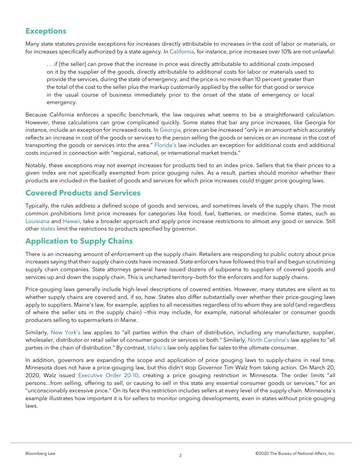## **Exceptions**

Many state statutes provide exceptions for increases directly attributable to increases in the cost of labor or materials, or for increases specifically authorized by a state agency. In [California,](http://leginfo.legislature.ca.gov/faces/codes_displaySection.xhtml?sectionNum=396&lawCode=PEN) for instance, price increases over 10% are not unlawful:

. . .if [the seller] can prove that the increase in price was directly attributable to additional costs imposed on it by the supplier of the goods, directly attributable to additional costs for labor or materials used to provide the services, during the state of emergency, and the price is no more than 10 percent greater than the total of the cost to the seller plus the markup customarily applied by the seller for that good or service in the usual course of business immediately prior to the onset of the state of emergency or local emergency.

Because California enforces a specific benchmark, the law requires what seems to be a straightforward calculation. However, these calculations can grow complicated quickly. Some states that bar any price increases, like Georgia for instance, include an exception for increased costs. In [Georgia,](http://ga.elaws.us/law/10-1%7C15) prices can be increased "only in an amount which accurately reflects an increase in cost of the goods or services to the person selling the goods or services or an increase in the cost of transporting the goods or services into the area." [Florida's](http://www.leg.state.fl.us/statutes/index.cfm?App_mode=Display_Statute&URL=0500-0599/0501/Sections/0501.160.html) law includes an exception for additional costs and additional costs incurred in connection with "regional, national, or international market trends."

Notably, these exceptions may not exempt increases for products tied to an index price. Sellers that tie their prices to a given index are not specifically exempted from price gouging rules. As a result, parties should monitor whether their products are included in the basket of goods and services for which price increases could trigger price gouging laws.

### **Covered Products and Services**

Typically, the rules address a defined scope of goods and services, and sometimes levels of the supply chain. The most common prohibitions limit price increases for categories like food, fuel, batteries, or medicine. Some states, such as [Louisiana](http://legis.la.gov/legis/Law.aspx?d=85680) and [Hawaii,](https://www.capitol.hawaii.gov/hrscurrent/Vol03_Ch0121-0200D/HRS0127A/HRS_0127A-0030.htm) take a broader approach and apply price increase restrictions to almost any good or service. Still other [states](http://ga.elaws.us/law/10-1%7C15) limit the restrictions to products specified by governor.

### **Application to Supply Chains**

There is an increasing amount of enforcement up the supply chain. Retailers are responding to public outcry about price increases saying that their supply chain costs have increased. State enforcers have followed this trail and begun scrutinizing supply chain companies. State attorneys general have issued dozens of subpoena to suppliers of covered goods and services up and down the supply chain. This is uncharted territory–both for the enforcers and for supply chains.

Price-gouging laws generally include high-level descriptions of covered entities. However, many statutes are silent as to whether supply chains are covered and, if so, how. States also differ substantially over whether their price-gouging laws apply to suppliers. Maine's law, for example, applies to all necessities regardless of to whom they are sold (and regardless of where the seller sits in the supply chain) —this may include, for example, national wholesaler or consumer goods producers selling to supermarkets in Maine.

Similarly, [New York's](https://www.nysenate.gov/legislation/laws/GBS/396-R) law applies to "all parties within the chain of distribution, including any manufacturer, supplier, wholesaler, distributor or retail seller of consumer goods or services or both." Similarly, [North Carolina's](https://www.ncleg.gov/enactedlegislation/statutes/html/bysection/chapter_75/gs_75-38.html) law applies to "all parties in the chain of distribution." By contrast, [Idaho's](https://legislature.idaho.gov/statutesrules/idstat/Title48/T48CH6/SECT48-603/) law only applies for sales to the ultimate consumer.

In addition, governors are expanding the scope and application of price gouging laws to supply-chains in real time. Minnesota does not have a price-gouging law, but this didn't stop Governor Tim Walz from taking action. On March 20, 2020, Walz issued [Executive Order 20-10,](https://mn.gov/governor/news/?id=1055-424173) creating a price gouging restriction in Minnesota. The order limits "all persons...from selling, offering to sell, or causing to sell in this state any essential consumer goods or services," for an "unconscionably excessive price." On its face this restriction includes sellers at every level of the supply chain. Minnesota's example illustrates how important it is for sellers to monitor ongoing developments, even in states without price gouging laws.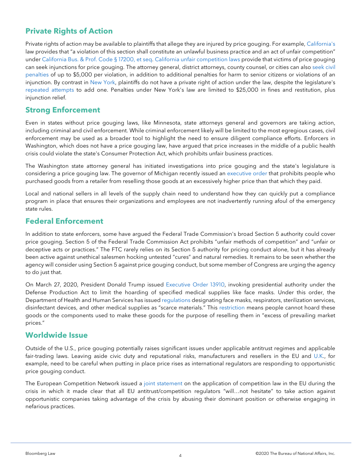# **Private Rights of Action**

Private rights of action may be available to plaintiffs that allege they are injured by price gouging. For example, [California's](http://leginfo.legislature.ca.gov/faces/codes_displaySection.xhtml?lawCode=PEN§ionNum=396.) law provides that "a violation of this section shall constitute an unlawful business practice and an act of unfair competition" under [California Bus. & Prof. Code §](http://leginfo.legislature.ca.gov/faces/codes_displayText.xhtml?lawCode=BPC&division=7.&title=&part=2.&chapter=5.&article=) 17200, et seq. [California unfair competition laws](http://leginfo.legislature.ca.gov/faces/codes_displayText.xhtml?lawCode=BPC&division=7.&title=&part=2.&chapter=5.&article=) provide that victims of price gouging can seek injunctions for price gouging. The attorney general, district attorneys, county counsel, or cities can also [seek civil](https://oag.ca.gov/consumers/pricegougingduringdisasters#4C)  [penalties](https://oag.ca.gov/consumers/pricegougingduringdisasters#4C) of up to \$5,000 per violation, in addition to additional penalties for harm to senior citizens or violations of an injunction. By contrast in [New York,](https://www.nysenate.gov/legislation/laws/GBS/396-R) plaintiffs do not have a private right of action under the law, despite the legislature's [repeated attempts](https://www.nysenate.gov/legislation/bills/2009/A278) to add one. Penalties under New York's law are limited to \$25,000 in fines and restitution, plus injunction relief.

#### **Strong Enforcement**

Even in states without price gouging laws, like Minnesota, state attorneys general and governors are taking action, including criminal and civil enforcement. While criminal enforcement likely will be limited to the most egregious cases, civil enforcement may be used as a broader tool to highlight the need to ensure diligent compliance efforts. Enforcers in Washington, which does not have a price gouging law, have argued that price increases in the middle of a public health crisis could violate the state's Consumer Protection Act, which prohibits unfair business practices.

The Washington state attorney general has initiated investigations into price gouging and the state's legislature is considering a price gouging law. The governor of Michigan recently issued an [executive order](https://www.michigan.gov/coronavirus/0,9753,7-406-98163-522506--,00.html) that prohibits people who purchased goods from a retailer from reselling those goods at an excessively higher price than that which they paid.

Local and national sellers in all levels of the supply chain need to understand how they can quickly put a compliance program in place that ensures their organizations and employees are not inadvertently running afoul of the emergency state rules.

#### **Federal Enforcement**

In addition to state enforcers, some have argued the Federal Trade Commission's broad Section 5 authority could cover price gouging. Section 5 of the Federal Trade Commission Act prohibits "unfair methods of competition" and "unfair or deceptive acts or practices." The FTC rarely relies on its Section 5 authority for pricing conduct alone, but it has already been active against unethical salesmen hocking untested "cures" and natural remedies. It remains to be seen whether the agency will consider using Section 5 against price gouging conduct, but some member of Congress are urging the agency to do just that.

On March 27, 2020, President Donald Trump issued [Executive Order 13910,](https://www.whitehouse.gov/presidential-actions/eo-delegating-additional-authority-dpa-respect-health-medical-resources-respond-spread-covid-19/) invoking presidential authority under the Defense Production Act to limit the hoarding of specified medical supplies like face masks. Under this order, the Department of Health and Human Services has issued [regulations](https://www.hhs.gov/sites/default/files/hhs-dfa-notice-of-scarce-materials-for-hoarding-prevention.pdf) designating face masks, respirators, sterilization services, disinfectant devices, and other medical supplies as "scarce materials." This [restriction](https://www.hhs.gov/about/news/2020/03/25/hhs-implements-president-trumps-hoarding-prevention-executive-order.html) means people cannot hoard these goods or the components used to make these goods for the purpose of reselling them in "excess of prevailing market prices."

#### **Worldwide Issue**

Outside of the U.S., price gouging potentially raises significant issues under applicable antitrust regimes and applicable fair-trading laws. Leaving aside civic duty and reputational risks, manufacturers and resellers in the EU and [U.K.](https://www.mindingyourbusinesslitigation.com/2020/03/united-kingdoms-cma-issues-guidance-to-businesses-on-co-operation-during-the-crisis/), for example, need to be careful when putting in place price rises as international regulators are responding to opportunistic price gouging conduct.

The European Competition Network issued a [joint statement](https://www.mindingyourbusinesslitigation.com/2020/03/flexibility-within-a-crisis-the-european-competition-networks-response-to-covid-19/) on the application of competition law in the EU during the crisis in which it made clear that all EU antitrust/competition regulators "will…not hesitate" to take action against opportunistic companies taking advantage of the crisis by abusing their dominant position or otherwise engaging in nefarious practices.